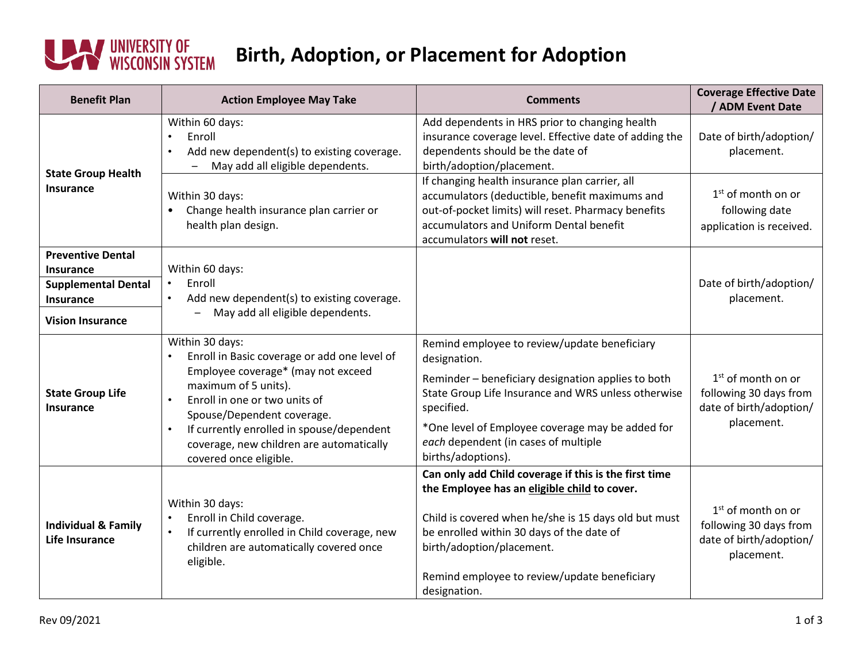## **WEIGHT WEIGHT WISCONSIN SYSTEM**

## **Birth, Adoption, or Placement for Adoption**

| <b>Benefit Plan</b>                                                                                         | <b>Action Employee May Take</b>                                                                                                                                                                                                                                                                                                           | <b>Comments</b>                                                                                                                                                                                                                                                                                           | <b>Coverage Effective Date</b><br>/ ADM Event Date                                      |
|-------------------------------------------------------------------------------------------------------------|-------------------------------------------------------------------------------------------------------------------------------------------------------------------------------------------------------------------------------------------------------------------------------------------------------------------------------------------|-----------------------------------------------------------------------------------------------------------------------------------------------------------------------------------------------------------------------------------------------------------------------------------------------------------|-----------------------------------------------------------------------------------------|
| <b>State Group Health</b><br>Insurance                                                                      | Within 60 days:<br>Enroll<br>Add new dependent(s) to existing coverage.<br>$\bullet$<br>May add all eligible dependents.                                                                                                                                                                                                                  | Add dependents in HRS prior to changing health<br>insurance coverage level. Effective date of adding the<br>dependents should be the date of<br>birth/adoption/placement.                                                                                                                                 | Date of birth/adoption/<br>placement.                                                   |
|                                                                                                             | Within 30 days:<br>Change health insurance plan carrier or<br>$\bullet$<br>health plan design.                                                                                                                                                                                                                                            | If changing health insurance plan carrier, all<br>accumulators (deductible, benefit maximums and<br>out-of-pocket limits) will reset. Pharmacy benefits<br>accumulators and Uniform Dental benefit<br>accumulators will not reset.                                                                        | $1st$ of month on or<br>following date<br>application is received.                      |
| <b>Preventive Dental</b><br>Insurance<br><b>Supplemental Dental</b><br>Insurance<br><b>Vision Insurance</b> | Within 60 days:<br>Enroll<br>$\bullet$<br>Add new dependent(s) to existing coverage.<br>May add all eligible dependents.                                                                                                                                                                                                                  |                                                                                                                                                                                                                                                                                                           | Date of birth/adoption/<br>placement.                                                   |
| <b>State Group Life</b><br><b>Insurance</b>                                                                 | Within 30 days:<br>Enroll in Basic coverage or add one level of<br>Employee coverage* (may not exceed<br>maximum of 5 units).<br>Enroll in one or two units of<br>$\bullet$<br>Spouse/Dependent coverage.<br>If currently enrolled in spouse/dependent<br>$\bullet$<br>coverage, new children are automatically<br>covered once eligible. | Remind employee to review/update beneficiary<br>designation.<br>Reminder - beneficiary designation applies to both<br>State Group Life Insurance and WRS unless otherwise<br>specified.<br>*One level of Employee coverage may be added for<br>each dependent (in cases of multiple<br>births/adoptions). | $1st$ of month on or<br>following 30 days from<br>date of birth/adoption/<br>placement. |
| <b>Individual &amp; Family</b><br>Life Insurance                                                            | Within 30 days:<br>Enroll in Child coverage.<br>If currently enrolled in Child coverage, new<br>$\bullet$<br>children are automatically covered once<br>eligible.                                                                                                                                                                         | Can only add Child coverage if this is the first time<br>the Employee has an eligible child to cover.<br>Child is covered when he/she is 15 days old but must<br>be enrolled within 30 days of the date of<br>birth/adoption/placement.<br>Remind employee to review/update beneficiary<br>designation.   | $1st$ of month on or<br>following 30 days from<br>date of birth/adoption/<br>placement. |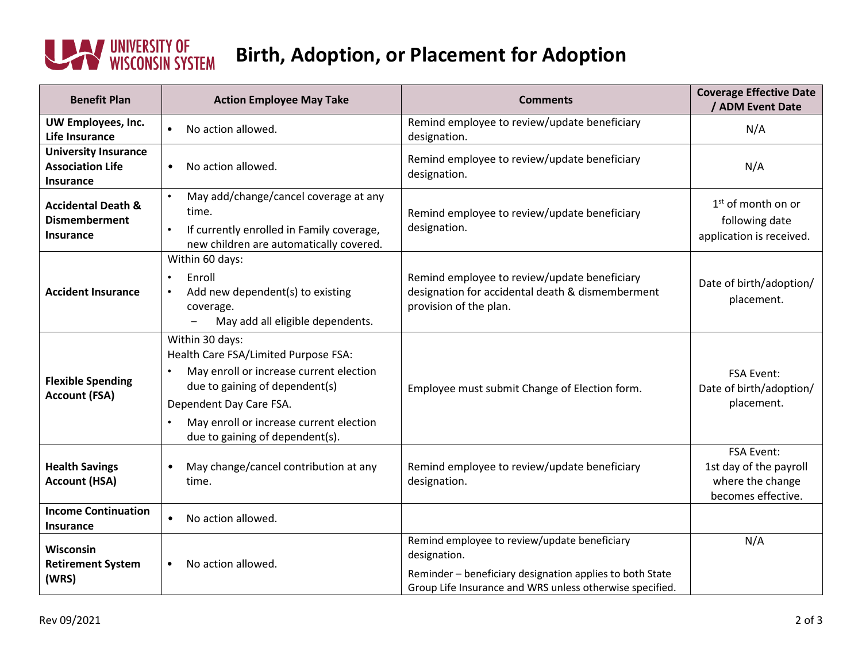

## **Birth, Adoption, or Placement for Adoption**

| <b>Benefit Plan</b>                                                       | <b>Action Employee May Take</b>                                                                                                                                                                                                               | <b>Comments</b>                                                                                                                                                                      | <b>Coverage Effective Date</b><br>/ ADM Event Date                                    |
|---------------------------------------------------------------------------|-----------------------------------------------------------------------------------------------------------------------------------------------------------------------------------------------------------------------------------------------|--------------------------------------------------------------------------------------------------------------------------------------------------------------------------------------|---------------------------------------------------------------------------------------|
| UW Employees, Inc.<br><b>Life Insurance</b>                               | No action allowed.<br>$\bullet$                                                                                                                                                                                                               | Remind employee to review/update beneficiary<br>designation.                                                                                                                         | N/A                                                                                   |
| <b>University Insurance</b><br><b>Association Life</b><br>Insurance       | No action allowed.<br>$\bullet$                                                                                                                                                                                                               | Remind employee to review/update beneficiary<br>designation.                                                                                                                         | N/A                                                                                   |
| <b>Accidental Death &amp;</b><br><b>Dismemberment</b><br><b>Insurance</b> | May add/change/cancel coverage at any<br>$\bullet$<br>time.<br>If currently enrolled in Family coverage,<br>$\bullet$<br>new children are automatically covered.                                                                              | Remind employee to review/update beneficiary<br>designation.                                                                                                                         | 1 <sup>st</sup> of month on or<br>following date<br>application is received.          |
| <b>Accident Insurance</b>                                                 | Within 60 days:<br>Enroll<br>$\bullet$<br>Add new dependent(s) to existing<br>$\bullet$<br>coverage.<br>May add all eligible dependents.                                                                                                      | Remind employee to review/update beneficiary<br>designation for accidental death & dismemberment<br>provision of the plan.                                                           | Date of birth/adoption/<br>placement.                                                 |
| <b>Flexible Spending</b><br><b>Account (FSA)</b>                          | Within 30 days:<br>Health Care FSA/Limited Purpose FSA:<br>May enroll or increase current election<br>due to gaining of dependent(s)<br>Dependent Day Care FSA.<br>May enroll or increase current election<br>due to gaining of dependent(s). | Employee must submit Change of Election form.                                                                                                                                        | <b>FSA Event:</b><br>Date of birth/adoption/<br>placement.                            |
| <b>Health Savings</b><br><b>Account (HSA)</b>                             | May change/cancel contribution at any<br>$\bullet$<br>time.                                                                                                                                                                                   | Remind employee to review/update beneficiary<br>designation.                                                                                                                         | <b>FSA Event:</b><br>1st day of the payroll<br>where the change<br>becomes effective. |
| <b>Income Continuation</b><br><b>Insurance</b>                            | No action allowed.<br>$\bullet$                                                                                                                                                                                                               |                                                                                                                                                                                      |                                                                                       |
| <b>Wisconsin</b><br><b>Retirement System</b><br>(WRS)                     | No action allowed.<br>$\bullet$                                                                                                                                                                                                               | Remind employee to review/update beneficiary<br>designation.<br>Reminder - beneficiary designation applies to both State<br>Group Life Insurance and WRS unless otherwise specified. | N/A                                                                                   |